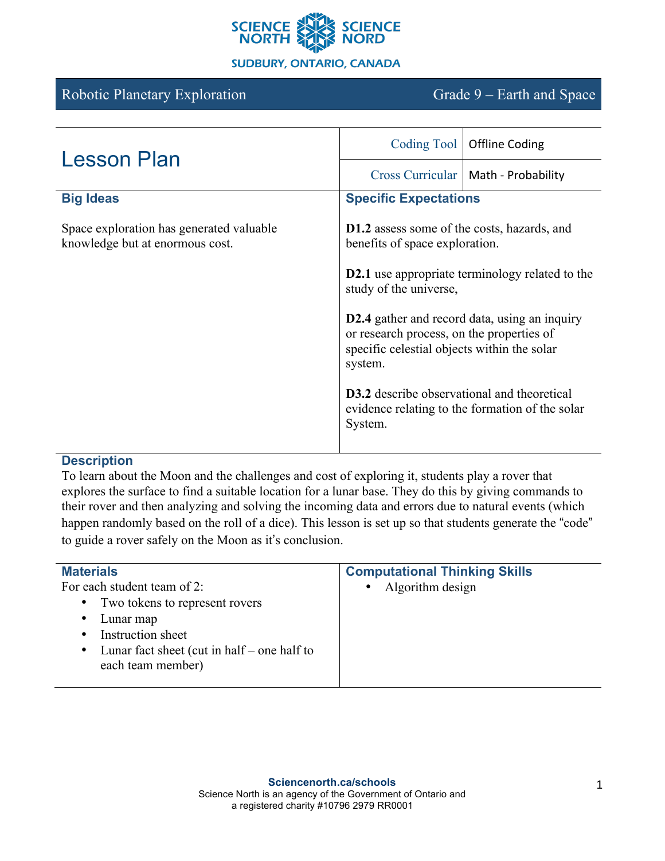

#### **SUDBURY, ONTARIO, CANADA**

# Robotic Planetary Exploration Grade 9 – Earth and Space

| <b>Lesson Plan</b>                                                          | Coding Tool                                                                                                                                                 | <b>Offline Coding</b>                           |
|-----------------------------------------------------------------------------|-------------------------------------------------------------------------------------------------------------------------------------------------------------|-------------------------------------------------|
|                                                                             | <b>Cross Curricular</b>                                                                                                                                     | Math - Probability                              |
| <b>Big Ideas</b>                                                            | <b>Specific Expectations</b>                                                                                                                                |                                                 |
| Space exploration has generated valuable<br>knowledge but at enormous cost. | <b>D1.2</b> assess some of the costs, hazards, and<br>benefits of space exploration.                                                                        |                                                 |
|                                                                             | <b>D2.1</b> use appropriate terminology related to the<br>study of the universe,                                                                            |                                                 |
|                                                                             | <b>D2.4</b> gather and record data, using an inquiry<br>or research process, on the properties of<br>specific celestial objects within the solar<br>system. |                                                 |
|                                                                             | <b>D3.2</b> describe observational and theoretical<br>System.                                                                                               | evidence relating to the formation of the solar |

#### **Description**

To learn about the Moon and the challenges and cost of exploring it, students play a rover that explores the surface to find a suitable location for a lunar base. They do this by giving commands to their rover and then analyzing and solving the incoming data and errors due to natural events (which happen randomly based on the roll of a dice). This lesson is set up so that students generate the "code" to guide a rover safely on the Moon as it's conclusion.

| <b>Materials</b>                                         | <b>Computational Thinking Skills</b> |
|----------------------------------------------------------|--------------------------------------|
| For each student team of 2:                              | • Algorithm design                   |
| Two tokens to represent rovers<br>$\bullet$              |                                      |
| Lunar map<br>$\bullet$                                   |                                      |
| Instruction sheet<br>٠                                   |                                      |
| Lunar fact sheet (cut in half – one half to<br>$\bullet$ |                                      |
| each team member)                                        |                                      |
|                                                          |                                      |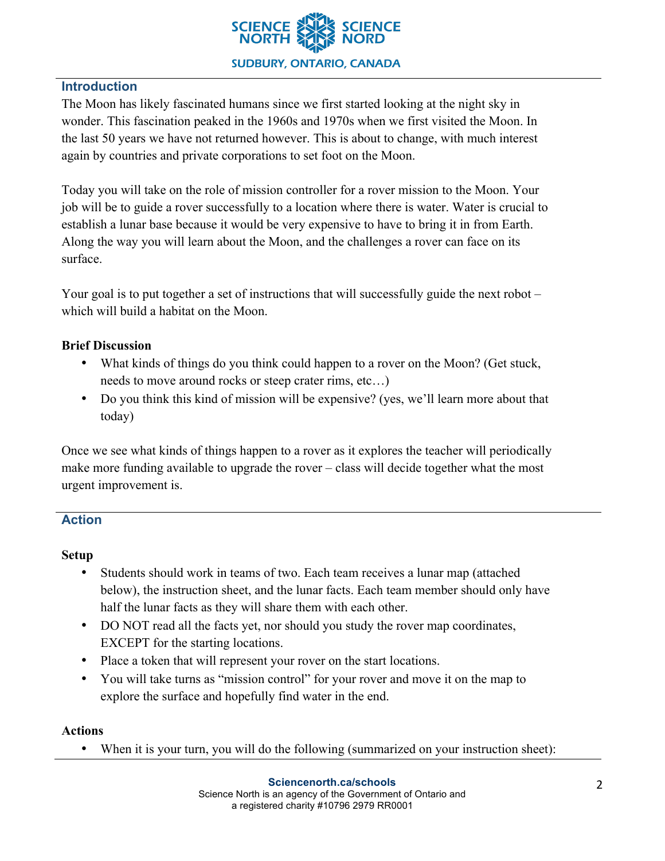

## **Introduction**

The Moon has likely fascinated humans since we first started looking at the night sky in wonder. This fascination peaked in the 1960s and 1970s when we first visited the Moon. In the last 50 years we have not returned however. This is about to change, with much interest again by countries and private corporations to set foot on the Moon.

Today you will take on the role of mission controller for a rover mission to the Moon. Your job will be to guide a rover successfully to a location where there is water. Water is crucial to establish a lunar base because it would be very expensive to have to bring it in from Earth. Along the way you will learn about the Moon, and the challenges a rover can face on its surface.

Your goal is to put together a set of instructions that will successfully guide the next robot – which will build a habitat on the Moon.

## **Brief Discussion**

- What kinds of things do you think could happen to a rover on the Moon? (Get stuck, needs to move around rocks or steep crater rims, etc…)
- Do you think this kind of mission will be expensive? (yes, we'll learn more about that today)

Once we see what kinds of things happen to a rover as it explores the teacher will periodically make more funding available to upgrade the rover – class will decide together what the most urgent improvement is.

## **Action**

## **Setup**

- Students should work in teams of two. Each team receives a lunar map (attached below), the instruction sheet, and the lunar facts. Each team member should only have half the lunar facts as they will share them with each other.
- DO NOT read all the facts yet, nor should you study the rover map coordinates, EXCEPT for the starting locations.
- Place a token that will represent your rover on the start locations.
- You will take turns as "mission control" for your rover and move it on the map to explore the surface and hopefully find water in the end.

#### **Actions**

• When it is your turn, you will do the following (summarized on your instruction sheet):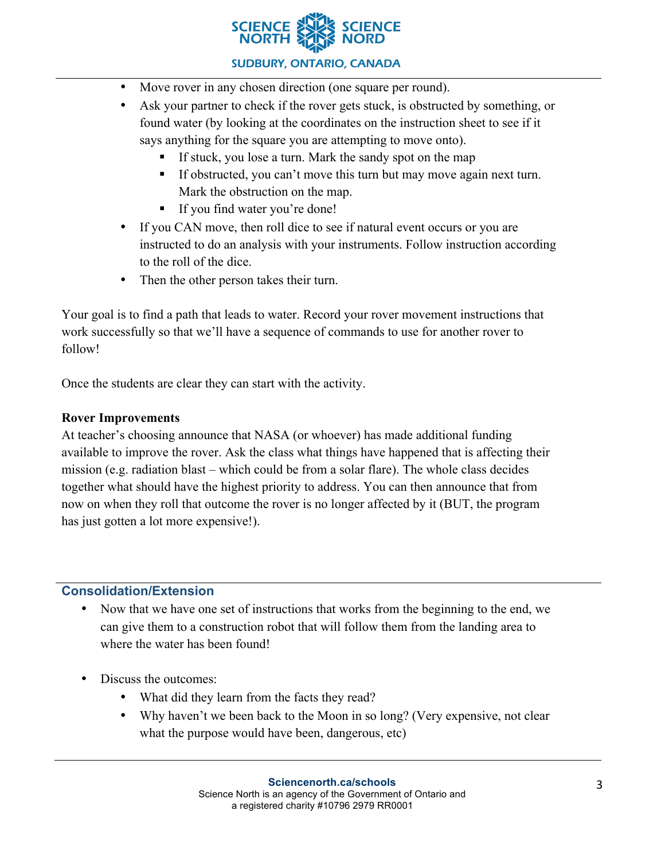

### **SUDBURY, ONTARIO, CANADA**

- Move rover in any chosen direction (one square per round).
- Ask your partner to check if the rover gets stuck, is obstructed by something, or found water (by looking at the coordinates on the instruction sheet to see if it says anything for the square you are attempting to move onto).
	- If stuck, you lose a turn. Mark the sandy spot on the map
	- If obstructed, you can't move this turn but may move again next turn. Mark the obstruction on the map.
	- **•** If you find water you're done!
- If you CAN move, then roll dice to see if natural event occurs or you are instructed to do an analysis with your instruments. Follow instruction according to the roll of the dice.
- Then the other person takes their turn.

Your goal is to find a path that leads to water. Record your rover movement instructions that work successfully so that we'll have a sequence of commands to use for another rover to follow!

Once the students are clear they can start with the activity.

### **Rover Improvements**

At teacher's choosing announce that NASA (or whoever) has made additional funding available to improve the rover. Ask the class what things have happened that is affecting their mission (e.g. radiation blast – which could be from a solar flare). The whole class decides together what should have the highest priority to address. You can then announce that from now on when they roll that outcome the rover is no longer affected by it (BUT, the program has just gotten a lot more expensive!).

#### **Consolidation/Extension**

- Now that we have one set of instructions that works from the beginning to the end, we can give them to a construction robot that will follow them from the landing area to where the water has been found!
- Discuss the outcomes:
	- What did they learn from the facts they read?
	- Why haven't we been back to the Moon in so long? (Very expensive, not clear what the purpose would have been, dangerous, etc)